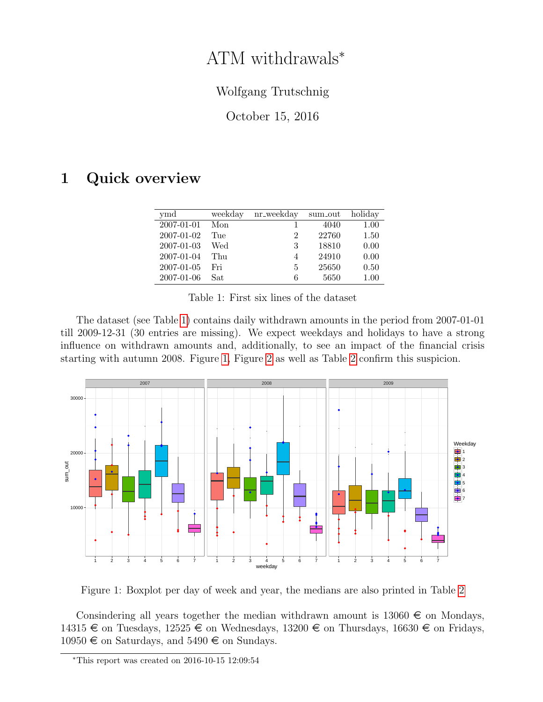## ATM withdrawals<sup>∗</sup>

## Wolfgang Trutschnig

<span id="page-0-0"></span>October 15, 2016

## 1 Quick overview

| ymd        | weekday | nr_weekday | sum_out | holiday  |
|------------|---------|------------|---------|----------|
| 2007-01-01 | Mon     |            | 4040    | 1.00     |
| 2007-01-02 | Tue     | 2          | 22760   | 1.50     |
| 2007-01-03 | Wed     | 3          | 18810   | 0.00     |
| 2007-01-04 | Thu     | 4          | 24910   | 0.00     |
| 2007-01-05 | Fri     | 5          | 25650   | 0.50     |
| 2007-01-06 | Sat     | 6          | 5650    | $1.00\,$ |

Table 1: First six lines of the dataset

The dataset (see Table [1\)](#page-0-0) contains daily withdrawn amounts in the period from 2007-01-01 till 2009-12-31 (30 entries are missing). We expect weekdays and holidays to have a strong influence on withdrawn amounts and, additionally, to see an impact of the financial crisis starting with autumn 2008. Figure [1,](#page-0-1) Figure [2](#page-1-0) as well as Table [2](#page-1-1) confirm this suspicion.



<span id="page-0-1"></span>Figure 1: Boxplot per day of week and year, the medians are also printed in Table [2](#page-1-1)

Consindering all years together the median withdrawn amount is  $13060 \in \mathfrak{S}$  on Mondays, 14315  $\in$  on Tuesdays, 12525  $\in$  on Wednesdays, 13200  $\in$  on Thursdays, 16630  $\in$  on Fridays,  $10950 \in \text{on Saturdays}, \text{ and } 5490 \in \text{on Sundays}.$ 

<sup>∗</sup>This report was created on 2016-10-15 12:09:54